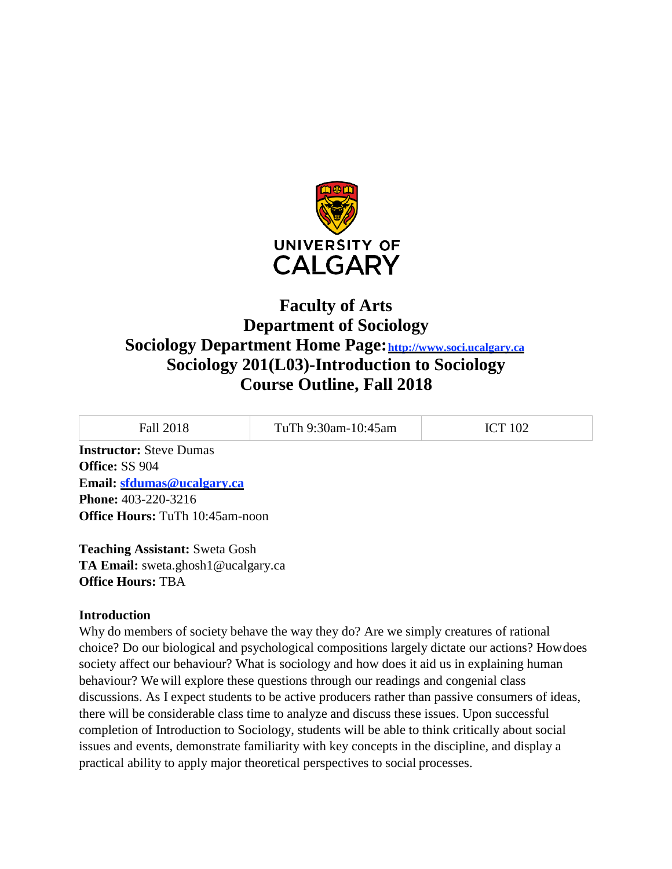

# **Faculty of Arts Department of Sociology Sociology Department Home Page**: http://www.soci.ucalgary.ca **Sociology 201(L03)-Introduction to Sociology Course Outline, Fall 2018**

| Fall 2018                                               | TuTh 9:30am-10:45am | <b>ICT 102</b> |
|---------------------------------------------------------|---------------------|----------------|
| <b>Instructor:</b> Steve Dumas<br><b>Office: SS 904</b> |                     |                |

**Email: [sfdumas@ucalgary.ca](mailto:sfdumas@ucalgary.ca) Phone:** 403-220-3216 **Office Hours:** TuTh 10:45am-noon

**Teaching Assistant:** Sweta Gosh **TA Email:** [sweta.ghosh1@ucalgary.ca](mailto:sweta.ghosh1@ucalgary.ca) **Office Hours:** TBA

# **Introduction**

Why do members of society behave the way they do? Are we simply creatures of rational choice? Do our biological and psychological compositions largely dictate our actions? Howdoes society affect our behaviour? What is sociology and how does it aid us in explaining human behaviour? We will explore these questions through our readings and congenial class discussions. As I expect students to be active producers rather than passive consumers of ideas, there will be considerable class time to analyze and discuss these issues. Upon successful completion of Introduction to Sociology, students will be able to think critically about social issues and events, demonstrate familiarity with key concepts in the discipline, and display a practical ability to apply major theoretical perspectives to social processes.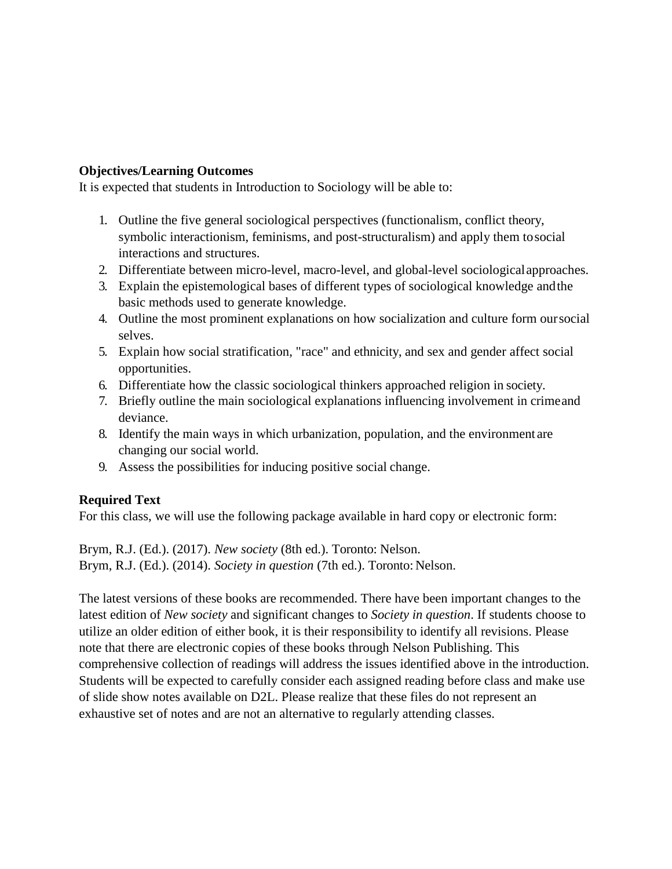## **Objectives/Learning Outcomes**

It is expected that students in Introduction to Sociology will be able to:

- 1. Outline the five general sociological perspectives (functionalism, conflict theory, symbolic interactionism, feminisms, and post-structuralism) and apply them tosocial interactions and structures.
- 2. Differentiate between micro-level, macro-level, and global-level sociologicalapproaches.
- 3. Explain the epistemological bases of different types of sociological knowledge andthe basic methods used to generate knowledge.
- 4. Outline the most prominent explanations on how socialization and culture form oursocial selves.
- 5. Explain how social stratification, "race" and ethnicity, and sex and gender affect social opportunities.
- 6. Differentiate how the classic sociological thinkers approached religion in society.
- 7. Briefly outline the main sociological explanations influencing involvement in crimeand deviance.
- 8. Identify the main ways in which urbanization, population, and the environment are changing our social world.
- 9. Assess the possibilities for inducing positive social change.

# **Required Text**

For this class, we will use the following package available in hard copy or electronic form:

Brym, R.J. (Ed.). (2017). *New society* (8th ed.). Toronto: Nelson. Brym, R.J. (Ed.). (2014). *Society in question* (7th ed.). Toronto: Nelson.

The latest versions of these books are recommended. There have been important changes to the latest edition of *New society* and significant changes to *Society in question*. If students choose to utilize an older edition of either book, it is their responsibility to identify all revisions. Please note that there are electronic copies of these books through Nelson Publishing. This comprehensive collection of readings will address the issues identified above in the introduction. Students will be expected to carefully consider each assigned reading before class and make use of slide show notes available on D2L. Please realize that these files do not represent an exhaustive set of notes and are not an alternative to regularly attending classes.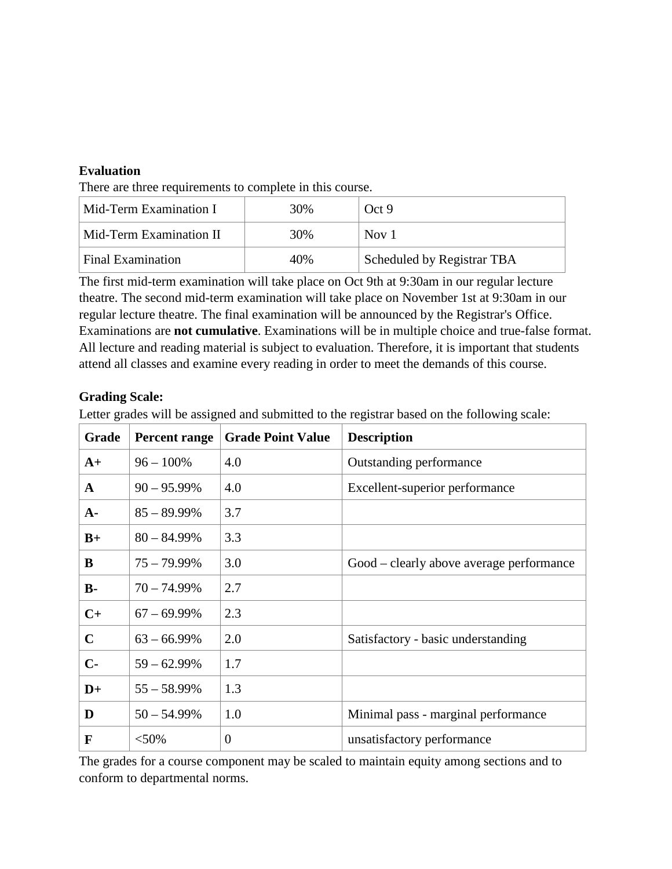## **Evaluation**

There are three requirements to complete in this course.

| Mid-Term Examination I   | 30% | Oct9                              |
|--------------------------|-----|-----------------------------------|
| Mid-Term Examination II  | 30% | Nov 1                             |
| <b>Final Examination</b> | 40% | <b>Scheduled by Registrar TBA</b> |

The first mid-term examination will take place on Oct 9th at 9:30am in our regular lecture theatre. The second mid-term examination will take place on November 1st at 9:30am in our regular lecture theatre. The final examination will be announced by the Registrar's Office. Examinations are **not cumulative**. Examinations will be in multiple choice and true-false format. All lecture and reading material is subject to evaluation. Therefore, it is important that students attend all classes and examine every reading in order to meet the demands of this course.

## **Grading Scale:**

Letter grades will be assigned and submitted to the registrar based on the following scale:

| Grade          | <b>Percent range</b> | <b>Grade Point Value</b> | <b>Description</b>                       |
|----------------|----------------------|--------------------------|------------------------------------------|
| $A+$           | $96 - 100\%$         | 4.0                      | Outstanding performance                  |
| $\mathbf{A}$   | $90 - 95.99\%$       | 4.0                      | Excellent-superior performance           |
| $A-$           | $85 - 89.99\%$       | 3.7                      |                                          |
| $B+$           | $80 - 84.99\%$       | 3.3                      |                                          |
| B              | $75 - 79.99\%$       | 3.0                      | Good – clearly above average performance |
| $\mathbf{B}$ - | $70 - 74.99\%$       | 2.7                      |                                          |
| $C+$           | $67 - 69.99\%$       | 2.3                      |                                          |
| $\mathbf C$    | $63 - 66.99\%$       | 2.0                      | Satisfactory - basic understanding       |
| $C -$          | $59 - 62.99\%$       | 1.7                      |                                          |
| $D+$           | $55 - 58.99\%$       | 1.3                      |                                          |
| D              | $50 - 54.99%$        | 1.0                      | Minimal pass - marginal performance      |
| F              | $<$ 50%              | $\overline{0}$           | unsatisfactory performance               |

The grades for a course component may be scaled to maintain equity among sections and to conform to departmental norms.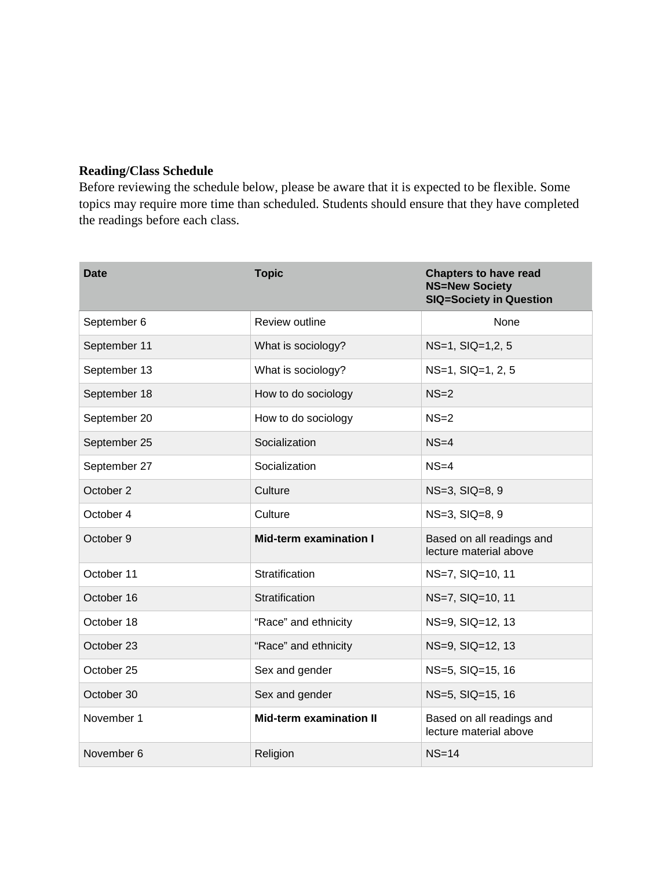# **Reading/Class Schedule**

Before reviewing the schedule below, please be aware that it is expected to be flexible. Some topics may require more time than scheduled. Students should ensure that they have completed the readings before each class.

| Date         | <b>Topic</b>                   | <b>Chapters to have read</b><br><b>NS=New Society</b><br><b>SIQ=Society in Question</b> |
|--------------|--------------------------------|-----------------------------------------------------------------------------------------|
| September 6  | Review outline                 | None                                                                                    |
| September 11 | What is sociology?             | NS=1, SIQ=1,2, 5                                                                        |
| September 13 | What is sociology?             | NS=1, SIQ=1, 2, 5                                                                       |
| September 18 | How to do sociology            | $NS=2$                                                                                  |
| September 20 | How to do sociology            | $NS=2$                                                                                  |
| September 25 | Socialization                  | $NS=4$                                                                                  |
| September 27 | Socialization                  | $NS=4$                                                                                  |
| October 2    | Culture                        | NS=3, SIQ=8, 9                                                                          |
| October 4    | Culture                        | $NS=3$ , $SIQ=8$ , $9$                                                                  |
| October 9    | <b>Mid-term examination I</b>  | Based on all readings and<br>lecture material above                                     |
| October 11   | Stratification                 | NS=7, SIQ=10, 11                                                                        |
| October 16   | Stratification                 | NS=7, SIQ=10, 11                                                                        |
| October 18   | "Race" and ethnicity           | NS=9, SIQ=12, 13                                                                        |
| October 23   | "Race" and ethnicity           | NS=9, SIQ=12, 13                                                                        |
| October 25   | Sex and gender                 | NS=5, SIQ=15, 16                                                                        |
| October 30   | Sex and gender                 | NS=5, SIQ=15, 16                                                                        |
| November 1   | <b>Mid-term examination II</b> | Based on all readings and<br>lecture material above                                     |
| November 6   | Religion                       | $NS=14$                                                                                 |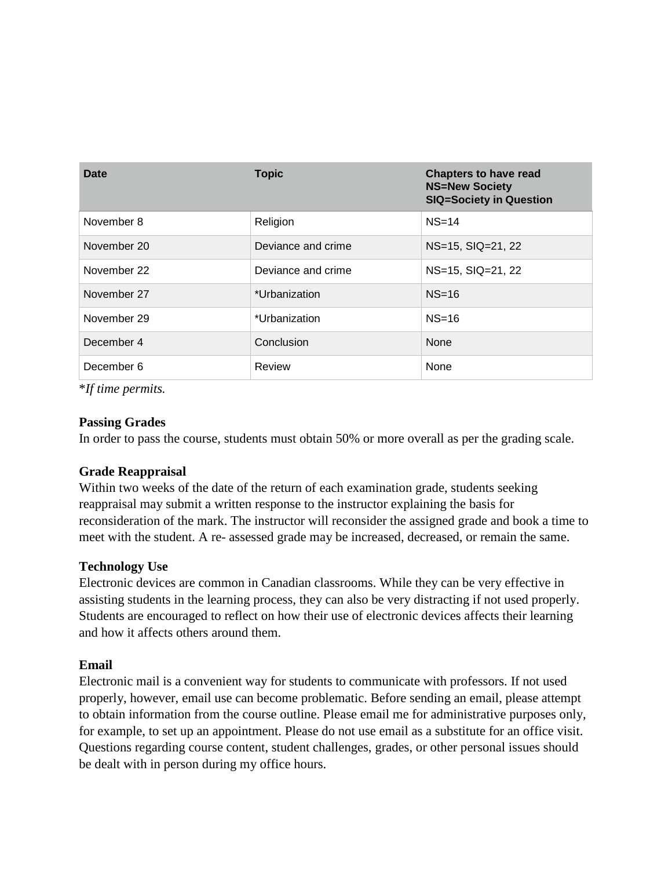| Date        | <b>Topic</b>       | <b>Chapters to have read</b><br><b>NS=New Society</b><br><b>SIQ=Society in Question</b> |
|-------------|--------------------|-----------------------------------------------------------------------------------------|
| November 8  | Religion           | $NS=14$                                                                                 |
| November 20 | Deviance and crime | $NS=15$ , $SIQ=21$ , $22$                                                               |
| November 22 | Deviance and crime | NS=15, SIQ=21, 22                                                                       |
| November 27 | *Urbanization      | $NS=16$                                                                                 |
| November 29 | *Urbanization      | $NS=16$                                                                                 |
| December 4  | Conclusion         | None                                                                                    |
| December 6  | Review             | None                                                                                    |

\**If time permits.*

## **Passing Grades**

In order to pass the course, students must obtain 50% or more overall as per the grading scale.

# **Grade Reappraisal**

Within two weeks of the date of the return of each examination grade, students seeking reappraisal may submit a written response to the instructor explaining the basis for reconsideration of the mark. The instructor will reconsider the assigned grade and book a time to meet with the student. A re- assessed grade may be increased, decreased, or remain the same.

# **Technology Use**

Electronic devices are common in Canadian classrooms. While they can be very effective in assisting students in the learning process, they can also be very distracting if not used properly. Students are encouraged to reflect on how their use of electronic devices affects their learning and how it affects others around them.

# **Email**

Electronic mail is a convenient way for students to communicate with professors. If not used properly, however, email use can become problematic. Before sending an email, please attempt to obtain information from the course outline. Please email me for administrative purposes only, for example, to set up an appointment. Please do not use email as a substitute for an office visit. Questions regarding course content, student challenges, grades, or other personal issues should be dealt with in person during my office hours.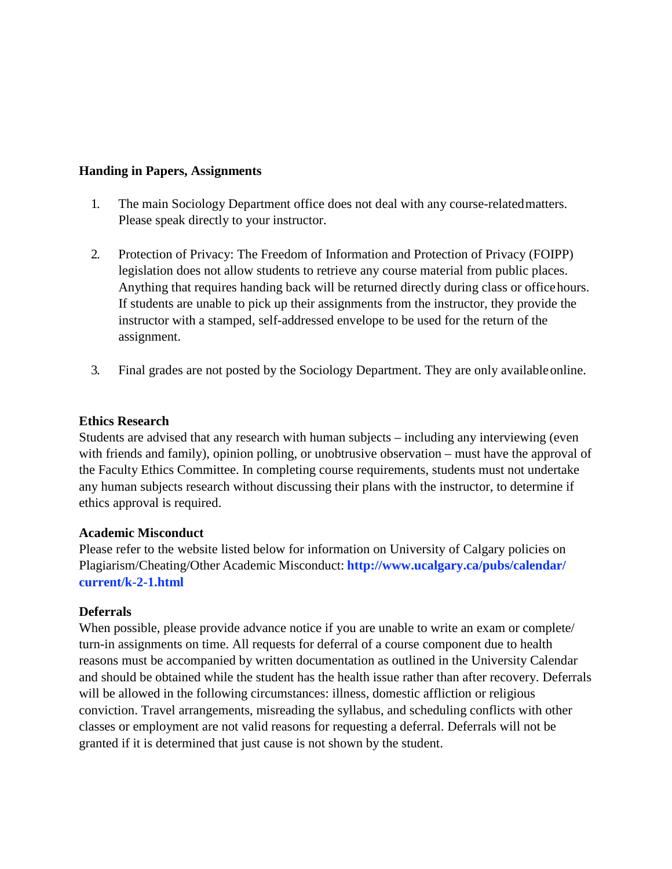#### **Handing in Papers, Assignments**

- 1. The main Sociology Department office does not deal with any course-relatedmatters. Please speak directly to your instructor.
- 2. Protection of Privacy: The Freedom of Information and Protection of Privacy (FOIPP) legislation does not allow students to retrieve any course material from public places. Anything that requires handing back will be returned directly during class or officehours. If students are unable to pick up their assignments from the instructor, they provide the instructor with a stamped, self-addressed envelope to be used for the return of the assignment.
- 3. Final grades are not posted by the Sociology Department. They are only availableonline.

#### **Ethics Research**

Students are advised that any research with human subjects – including any interviewing (even with friends and family), opinion polling, or unobtrusive observation – must have the approval of the Faculty Ethics Committee. In completing course requirements, students must not undertake any human subjects research without discussing their plans with the instructor, to determine if ethics approval is required.

#### **Academic Misconduct**

Please refer to the website listed below for information on University of Calgary policies on Plagiarism/Cheating/Other Academic Misconduct: **<http://www.ucalgary.ca/pubs/calendar/> current/k-2-1.html**

## **Deferrals**

When possible, please provide advance notice if you are unable to write an exam or complete/ turn-in assignments on time. All requests for deferral of a course component due to health reasons must be accompanied by written documentation as outlined in the University Calendar and should be obtained while the student has the health issue rather than after recovery. Deferrals will be allowed in the following circumstances: illness, domestic affliction or religious conviction. Travel arrangements, misreading the syllabus, and scheduling conflicts with other classes or employment are not valid reasons for requesting a deferral. Deferrals will not be granted if it is determined that just cause is not shown by the student.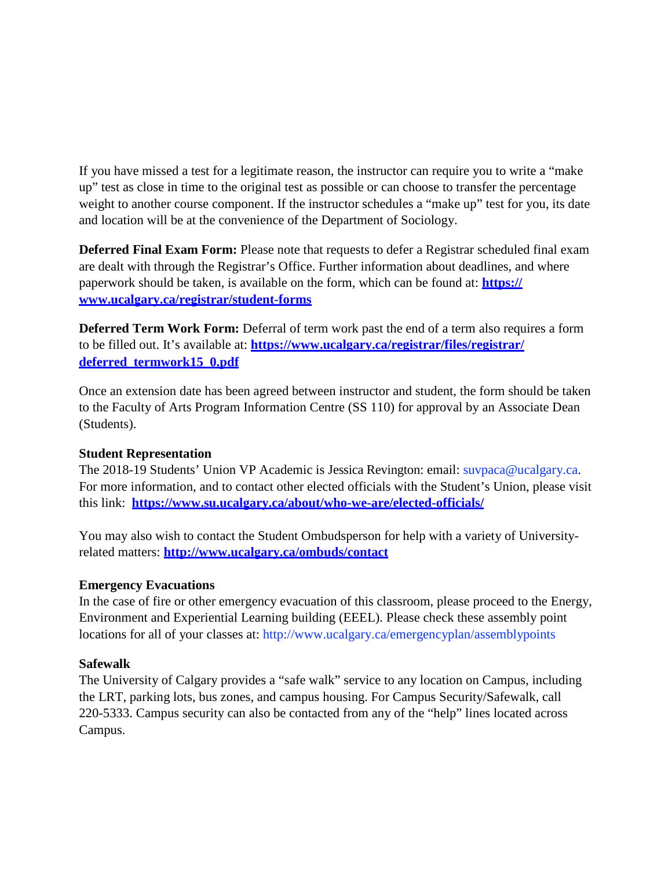If you have missed a test for a legitimate reason, the instructor can require you to write a "make up" test as close in time to the original test as possible or can choose to transfer the percentage weight to another course component. If the instructor schedules a "make up" test for you, its date and location will be at the convenience of the Department of Sociology.

**Deferred Final Exam Form:** Please note that requests to defer a Registrar scheduled final exam are dealt with through the Registrar's Office. Further information about deadlines, and where paperwork should be taken, is available on the form, which can be found at: **https:// [www.ucalgary.ca/registrar/student-forms](http://www.ucalgary.ca/registrar/student-forms)**

**Deferred Term Work Form:** Deferral of term work past the end of a term also requires a form to be filled out. It's available at: **https:/[/www.ucalgary.ca/registrar/files/registrar/](http://www.ucalgary.ca/registrar/files/registrar/) deferred\_termwork15\_0.pdf**

Once an extension date has been agreed between instructor and student, the form should be taken to the Faculty of Arts Program Information Centre (SS 110) for approval by an Associate Dean (Students).

## **Student Representation**

The 2018-19 Students' Union VP Academic is Jessica Revington: email: [suvpaca@ucalgary.ca.](mailto:suvpaca@ucalgary.ca) For more information, and to contact other elected officials with the Student's Union, please visit this link: **https:/[/www.su.ucalgary.ca/about/who-we-are/elected-officials/](http://www.su.ucalgary.ca/about/who-we-are/elected-officials/)**

You may also wish to contact the Student Ombudsperson for help with a variety of Universityrelated matters: **<http://www.ucalgary.ca/ombuds/contact>**

## **Emergency Evacuations**

In the case of fire or other emergency evacuation of this classroom, please proceed to the Energy, Environment and Experiential Learning building (EEEL). Please check these assembly point locations for all of your classes at:<http://www.ucalgary.ca/emergencyplan/assemblypoints>

#### **Safewalk**

The University of Calgary provides a "safe walk" service to any location on Campus, including the LRT, parking lots, bus zones, and campus housing. For Campus Security/Safewalk, call 220-5333. Campus security can also be contacted from any of the "help" lines located across Campus.